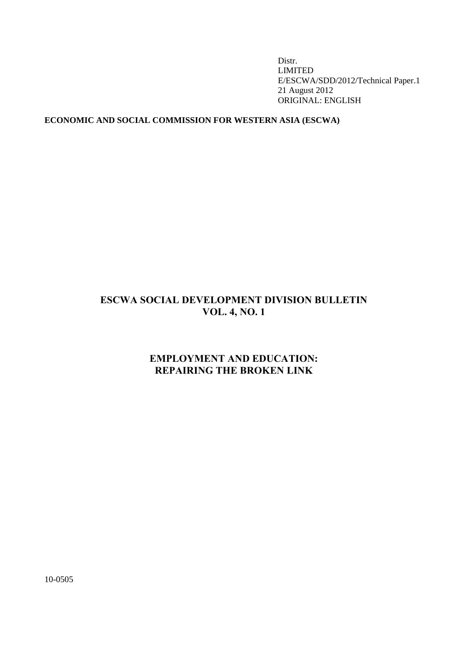Distr. LIMITED E/ESCWA/SDD/2012/Technical Paper.1 21 August 2012 ORIGINAL: ENGLISH

## **ECONOMIC AND SOCIAL COMMISSION FOR WESTERN ASIA (ESCWA)**

# **ESCWA SOCIAL DEVELOPMENT DIVISION BULLETIN VOL. 4, NO. 1**

# **EMPLOYMENT AND EDUCATION: REPAIRING THE BROKEN LINK**

10-0505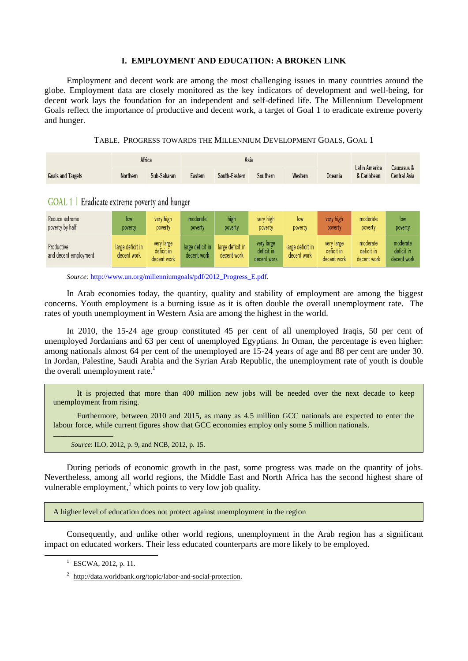## **I. EMPLOYMENT AND EDUCATION: A BROKEN LINK**

Employment and decent work are among the most challenging issues in many countries around the globe. Employment data are closely monitored as the key indicators of development and well-being, for decent work lays the foundation for an independent and self-defined life. The Millennium Development Goals reflect the importance of productive and decent work, a target of Goal 1 to eradicate extreme poverty and hunger.

|  | TABLE. PROGRESS TOWARDS THE MILLENNIUM DEVELOPMENT GOALS, GOAL 1 |  |  |  |  |
|--|------------------------------------------------------------------|--|--|--|--|
|--|------------------------------------------------------------------|--|--|--|--|

|                          | Africa   |             | Asia    |               |          |         |                | Latin America | Caucasus &          |
|--------------------------|----------|-------------|---------|---------------|----------|---------|----------------|---------------|---------------------|
| <b>Goals and Targets</b> | Northern | Sub-Saharan | Eastern | South-Eastern | Southern | Western | <b>Oceania</b> | & Caribbean   | <b>Central Asia</b> |

GOAL  $1 \mid$  Eradicate extreme poverty and hunger

| Reduce extreme                      | low                             | very high                               | moderate                        | high                            | very high                               | low                             | very high                               | moderate                              | low                                   |
|-------------------------------------|---------------------------------|-----------------------------------------|---------------------------------|---------------------------------|-----------------------------------------|---------------------------------|-----------------------------------------|---------------------------------------|---------------------------------------|
| poverty by half                     | poverty                         | poverty                                 | poverty                         | poverty                         | poverty                                 | poverty                         | poverty                                 | poverty                               | poverty                               |
| Productive<br>and decent employment | large deficit in<br>decent work | very large<br>deficit in<br>decent work | large deficit in<br>decent work | large deficit in<br>decent work | very large<br>deficit in<br>decent work | large deficit in<br>decent work | very large<br>deficit in<br>decent work | moderate<br>deficit in<br>decent work | moderate<br>deficit in<br>decent work |

*Source:* [http://www.un.org/millenniumgoals/pdf/2012\\_Progress\\_E.pdf](http://www.un.org/millenniumgoals/pdf/2012_Progress_E.pdf)*.*

In Arab economies today, the quantity, quality and stability of employment are among the biggest concerns. Youth employment is a burning issue as it is often double the overall unemployment rate. The rates of youth unemployment in Western Asia are among the highest in the world.

In 2010, the 15-24 age group constituted 45 per cent of all unemployed Iraqis, 50 per cent of unemployed Jordanians and 63 per cent of unemployed Egyptians. In Oman, the percentage is even higher: among nationals almost 64 per cent of the unemployed are 15-24 years of age and 88 per cent are under 30. In Jordan, Palestine, Saudi Arabia and the Syrian Arab Republic, the unemployment rate of youth is double the overall unemployment rate. $<sup>1</sup>$ </sup>

It is projected that more than 400 million new jobs will be needed over the next decade to keep unemployment from rising.

Furthermore, between 2010 and 2015, as many as 4.5 million GCC nationals are expected to enter the labour force, while current figures show that GCC economies employ only some 5 million nationals.

*Source*: ILO, 2012, p. 9, and NCB, 2012, p. 15.

During periods of economic growth in the past, some progress was made on the quantity of jobs. Nevertheless, among all world regions, the Middle East and North Africa has the second highest share of vulnerable employment, $2$  which points to very low job quality.

A higher level of education does not protect against unemployment in the region

Consequently, and unlike other world regions, unemployment in the Arab region has a significant impact on educated workers. Their less educated counterparts are more likely to be employed.

1

 $\overline{\phantom{a}}$  , where  $\overline{\phantom{a}}$ 

<sup>&</sup>lt;sup>1</sup> ESCWA, 2012, p. 11.

<sup>&</sup>lt;sup>2</sup> http://data.worldbank.org/topic/labor-and-social-protection.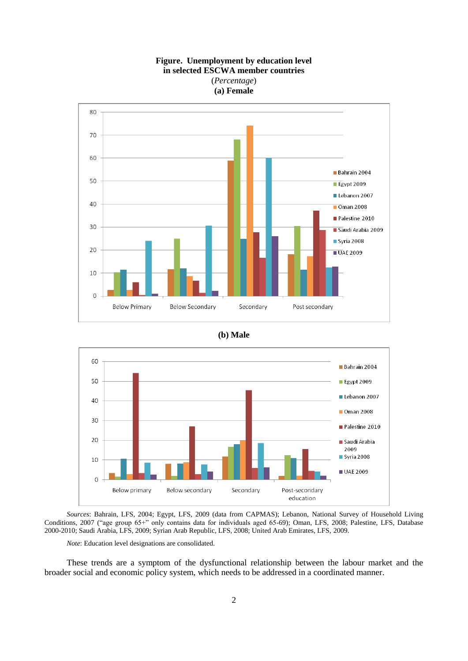





*Sources*: Bahrain, LFS, 2004; Egypt, LFS, 2009 (data from CAPMAS); Lebanon, National Survey of Household Living Conditions, 2007 ("age group 65+" only contains data for individuals aged 65-69); Oman, LFS, 2008; Palestine, LFS, Database 2000-2010; Saudi Arabia, LFS, 2009; Syrian Arab Republic, LFS, 2008; United Arab Emirates, LFS, 2009.

*Note*: Education level designations are consolidated.

These trends are a symptom of the dysfunctional relationship between the labour market and the broader social and economic policy system, which needs to be addressed in a coordinated manner.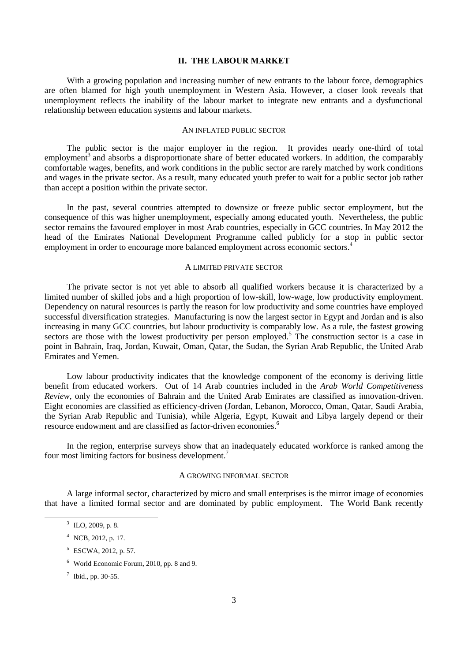### **II. THE LABOUR MARKET**

With a growing population and increasing number of new entrants to the labour force, demographics are often blamed for high youth unemployment in Western Asia. However, a closer look reveals that unemployment reflects the inability of the labour market to integrate new entrants and a dysfunctional relationship between education systems and labour markets.

#### AN INFLATED PUBLIC SECTOR

The public sector is the major employer in the region. It provides nearly one-third of total employment<sup>3</sup> and absorbs a disproportionate share of better educated workers. In addition, the comparably comfortable wages, benefits, and work conditions in the public sector are rarely matched by work conditions and wages in the private sector. As a result, many educated youth prefer to wait for a public sector job rather than accept a position within the private sector.

In the past, several countries attempted to downsize or freeze public sector employment, but the consequence of this was higher unemployment, especially among educated youth. Nevertheless, the public sector remains the favoured employer in most Arab countries, especially in GCC countries. In May 2012 the head of the Emirates National Development Programme called publicly for a stop in public sector employment in order to encourage more balanced employment across economic sectors.<sup>4</sup>

#### A LIMITED PRIVATE SECTOR

The private sector is not yet able to absorb all qualified workers because it is characterized by a limited number of skilled jobs and a high proportion of low-skill, low-wage, low productivity employment. Dependency on natural resources is partly the reason for low productivity and some countries have employed successful diversification strategies. Manufacturing is now the largest sector in Egypt and Jordan and is also increasing in many GCC countries, but labour productivity is comparably low. As a rule, the fastest growing sectors are those with the lowest productivity per person employed.<sup>5</sup> The construction sector is a case in point in Bahrain, Iraq, Jordan, Kuwait, Oman, Qatar, the Sudan, the Syrian Arab Republic, the United Arab Emirates and Yemen.

Low labour productivity indicates that the knowledge component of the economy is deriving little benefit from educated workers. Out of 14 Arab countries included in the *Arab World Competitiveness Review*, only the economies of Bahrain and the United Arab Emirates are classified as innovation-driven. Eight economies are classified as efficiency-driven (Jordan, Lebanon, Morocco, Oman, Qatar, Saudi Arabia, the Syrian Arab Republic and Tunisia), while Algeria, Egypt, Kuwait and Libya largely depend or their resource endowment and are classified as factor-driven economies.<sup>6</sup>

In the region, enterprise surveys show that an inadequately educated workforce is ranked among the four most limiting factors for business development.<sup>7</sup>

#### A GROWING INFORMAL SECTOR

A large informal sector, characterized by micro and small enterprises is the mirror image of economies that have a limited formal sector and are dominated by public employment. The World Bank recently

-

 $3$  ILO, 2009, p. 8.

 $4$  NCB, 2012, p. 17.

<sup>5</sup> ESCWA, 2012, p. 57.

<sup>6</sup> World Economic Forum, 2010, pp. 8 and 9.

<sup>7</sup> Ibid., pp. 30-55.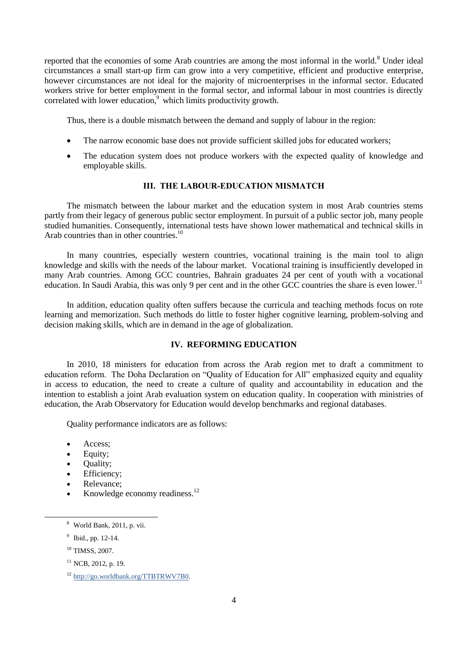reported that the economies of some Arab countries are among the most informal in the world.<sup>8</sup> Under ideal circumstances a small start-up firm can grow into a very competitive, efficient and productive enterprise, however circumstances are not ideal for the majority of microenterprises in the informal sector. Educated workers strive for better employment in the formal sector, and informal labour in most countries is directly correlated with lower education,<sup>9</sup> which limits productivity growth.

Thus, there is a double mismatch between the demand and supply of labour in the region:

- The narrow economic base does not provide sufficient skilled jobs for educated workers;
- The education system does not produce workers with the expected quality of knowledge and employable skills.

## **III. THE LABOUR-EDUCATION MISMATCH**

The mismatch between the labour market and the education system in most Arab countries stems partly from their legacy of generous public sector employment. In pursuit of a public sector job, many people studied humanities. Consequently, international tests have shown lower mathematical and technical skills in Arab countries than in other countries.<sup>10</sup>

In many countries, especially western countries, vocational training is the main tool to align knowledge and skills with the needs of the labour market. Vocational training is insufficiently developed in many Arab countries. Among GCC countries, Bahrain graduates 24 per cent of youth with a vocational education. In Saudi Arabia, this was only 9 per cent and in the other GCC countries the share is even lower.<sup>11</sup>

In addition, education quality often suffers because the curricula and teaching methods focus on rote learning and memorization. Such methods do little to foster higher cognitive learning, problem-solving and decision making skills, which are in demand in the age of globalization.

### **IV. REFORMING EDUCATION**

In 2010, 18 ministers for education from across the Arab region met to draft a commitment to education reform. The Doha Declaration on "Quality of Education for All" emphasized equity and equality in access to education, the need to create a culture of quality and accountability in education and the intention to establish a joint Arab evaluation system on education quality. In cooperation with ministries of education, the Arab Observatory for Education would develop benchmarks and regional databases.

Quality performance indicators are as follows:

- Access;
- Equity;
- Quality;
- Efficiency;
- Relevance;
- Knowledge economy readiness.<sup>12</sup>

-

 $8$  World Bank, 2011, p. vii.

<sup>&</sup>lt;sup>9</sup> Ibid., pp. 12-14.

<sup>&</sup>lt;sup>10</sup> TIMSS, 2007.

 $11$  NCB, 2012, p. 19.

<sup>12</sup> [http://go.worldbank.org/TTBTRWV7B0.](http://go.worldbank.org/TTBTRWV7B0)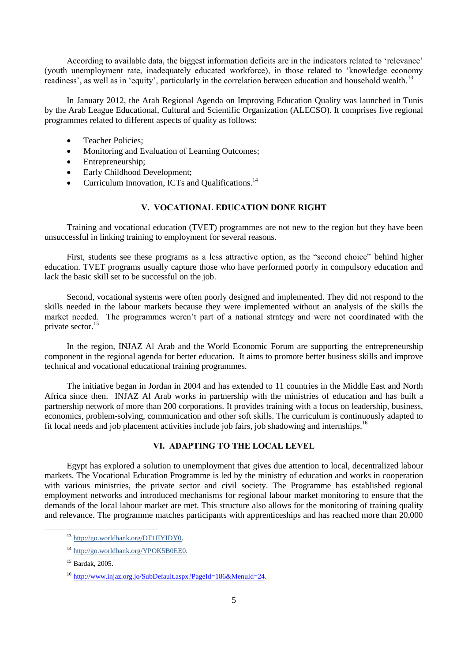According to available data, the biggest information deficits are in the indicators related to 'relevance' (youth unemployment rate, inadequately educated workforce), in those related to 'knowledge economy readiness', as well as in 'equity', particularly in the correlation between education and household wealth.<sup>13</sup>

In January 2012, the Arab Regional Agenda on Improving Education Quality was launched in Tunis by the Arab League Educational, Cultural and Scientific Organization (ALECSO). It comprises five regional programmes related to different aspects of quality as follows:

- Teacher Policies;
- Monitoring and Evaluation of Learning Outcomes;
- Entrepreneurship;
- Early Childhood Development;
- Curriculum Innovation, ICTs and Qualifications.<sup>14</sup>

## **V. VOCATIONAL EDUCATION DONE RIGHT**

Training and vocational education (TVET) programmes are not new to the region but they have been unsuccessful in linking training to employment for several reasons.

First, students see these programs as a less attractive option, as the "second choice" behind higher education. TVET programs usually capture those who have performed poorly in compulsory education and lack the basic skill set to be successful on the job.

Second, vocational systems were often poorly designed and implemented. They did not respond to the skills needed in the labour markets because they were implemented without an analysis of the skills the market needed. The programmes weren't part of a national strategy and were not coordinated with the private sector.<sup>15</sup>

In the region, INJAZ Al Arab and the World Economic Forum are supporting the entrepreneurship component in the regional agenda for better education. It aims to promote better business skills and improve technical and vocational educational training programmes.

The initiative began in Jordan in 2004 and has extended to 11 countries in the Middle East and North Africa since then. INJAZ Al Arab works in partnership with the ministries of education and has built a partnership network of more than 200 corporations. It provides training with a focus on leadership, business, economics, problem-solving, communication and other soft skills. The curriculum is continuously adapted to fit local needs and job placement activities include job fairs, job shadowing and internships.<sup>16</sup>

## **VI. ADAPTING TO THE LOCAL LEVEL**

Egypt has explored a solution to unemployment that gives due attention to local, decentralized labour markets. The Vocational Education Programme is led by the ministry of education and works in cooperation with various ministries, the private sector and civil society. The Programme has established regional employment networks and introduced mechanisms for regional labour market monitoring to ensure that the demands of the local labour market are met. This structure also allows for the monitoring of training quality and relevance. The programme matches participants with apprenticeships and has reached more than 20,000

1

<sup>13</sup> [http://go.worldbank.org/DT1IIYIDY0.](http://go.worldbank.org/DT1IIYIDY0)

<sup>14</sup> [http://go.worldbank.org/YPOK5B0EE0.](http://go.worldbank.org/YPOK5B0EE0)

<sup>15</sup> Bardak, 2005.

<sup>&</sup>lt;sup>16</sup> [http://www.injaz.org.jo/SubDefault.aspx?PageId=186&MenuId=24.](http://www.injaz.org.jo/SubDefault.aspx?PageId=186&MenuId=24)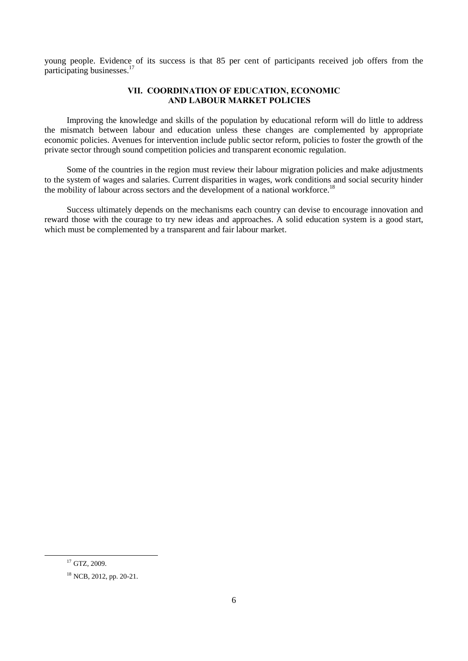young people. Evidence of its success is that 85 per cent of participants received job offers from the participating businesses.<sup>17</sup>

## **VII. COORDINATION OF EDUCATION, ECONOMIC AND LABOUR MARKET POLICIES**

Improving the knowledge and skills of the population by educational reform will do little to address the mismatch between labour and education unless these changes are complemented by appropriate economic policies. Avenues for intervention include public sector reform, policies to foster the growth of the private sector through sound competition policies and transparent economic regulation.

Some of the countries in the region must review their labour migration policies and make adjustments to the system of wages and salaries. Current disparities in wages, work conditions and social security hinder the mobility of labour across sectors and the development of a national workforce.<sup>18</sup>

Success ultimately depends on the mechanisms each country can devise to encourage innovation and reward those with the courage to try new ideas and approaches. A solid education system is a good start, which must be complemented by a transparent and fair labour market.

1

<sup>&</sup>lt;sup>17</sup> GTZ, 2009.

<sup>18</sup> NCB, 2012, pp. 20-21.